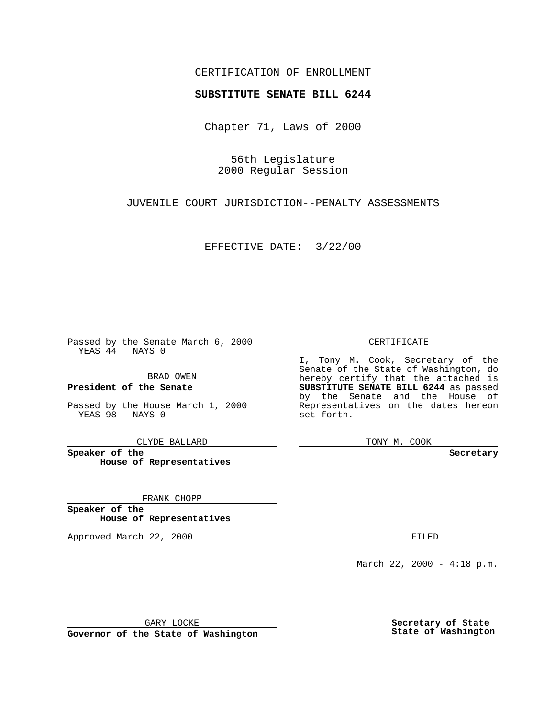### CERTIFICATION OF ENROLLMENT

# **SUBSTITUTE SENATE BILL 6244**

Chapter 71, Laws of 2000

56th Legislature 2000 Regular Session

JUVENILE COURT JURISDICTION--PENALTY ASSESSMENTS

EFFECTIVE DATE: 3/22/00

Passed by the Senate March 6, 2000 YEAS 44 NAYS 0

BRAD OWEN

**President of the Senate**

Passed by the House March 1, 2000 YEAS 98 NAYS 0

CLYDE BALLARD

**Speaker of the House of Representatives**

FRANK CHOPP

**Speaker of the House of Representatives**

Approved March 22, 2000 FILED

#### CERTIFICATE

I, Tony M. Cook, Secretary of the Senate of the State of Washington, do hereby certify that the attached is **SUBSTITUTE SENATE BILL 6244** as passed by the Senate and the House of Representatives on the dates hereon set forth.

TONY M. COOK

**Secretary**

March 22, 2000 - 4:18 p.m.

GARY LOCKE

**Governor of the State of Washington**

**Secretary of State State of Washington**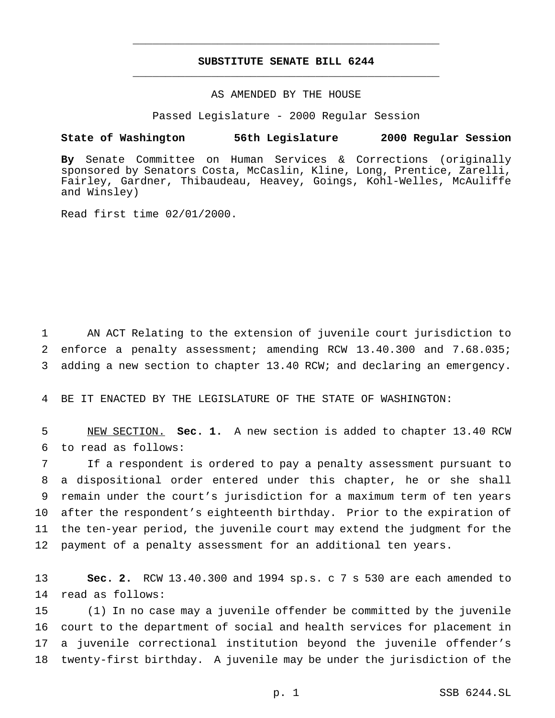## **SUBSTITUTE SENATE BILL 6244** \_\_\_\_\_\_\_\_\_\_\_\_\_\_\_\_\_\_\_\_\_\_\_\_\_\_\_\_\_\_\_\_\_\_\_\_\_\_\_\_\_\_\_\_\_\_\_

\_\_\_\_\_\_\_\_\_\_\_\_\_\_\_\_\_\_\_\_\_\_\_\_\_\_\_\_\_\_\_\_\_\_\_\_\_\_\_\_\_\_\_\_\_\_\_

### AS AMENDED BY THE HOUSE

Passed Legislature - 2000 Regular Session

#### **State of Washington 56th Legislature 2000 Regular Session**

**By** Senate Committee on Human Services & Corrections (originally sponsored by Senators Costa, McCaslin, Kline, Long, Prentice, Zarelli, Fairley, Gardner, Thibaudeau, Heavey, Goings, Kohl-Welles, McAuliffe and Winsley)

Read first time 02/01/2000.

1 AN ACT Relating to the extension of juvenile court jurisdiction to 2 enforce a penalty assessment; amending RCW 13.40.300 and 7.68.035; 3 adding a new section to chapter 13.40 RCW; and declaring an emergency.

4 BE IT ENACTED BY THE LEGISLATURE OF THE STATE OF WASHINGTON:

5 NEW SECTION. **Sec. 1.** A new section is added to chapter 13.40 RCW 6 to read as follows:

 If a respondent is ordered to pay a penalty assessment pursuant to a dispositional order entered under this chapter, he or she shall remain under the court's jurisdiction for a maximum term of ten years after the respondent's eighteenth birthday. Prior to the expiration of the ten-year period, the juvenile court may extend the judgment for the payment of a penalty assessment for an additional ten years.

13 **Sec. 2.** RCW 13.40.300 and 1994 sp.s. c 7 s 530 are each amended to 14 read as follows:

 (1) In no case may a juvenile offender be committed by the juvenile court to the department of social and health services for placement in a juvenile correctional institution beyond the juvenile offender's twenty-first birthday. A juvenile may be under the jurisdiction of the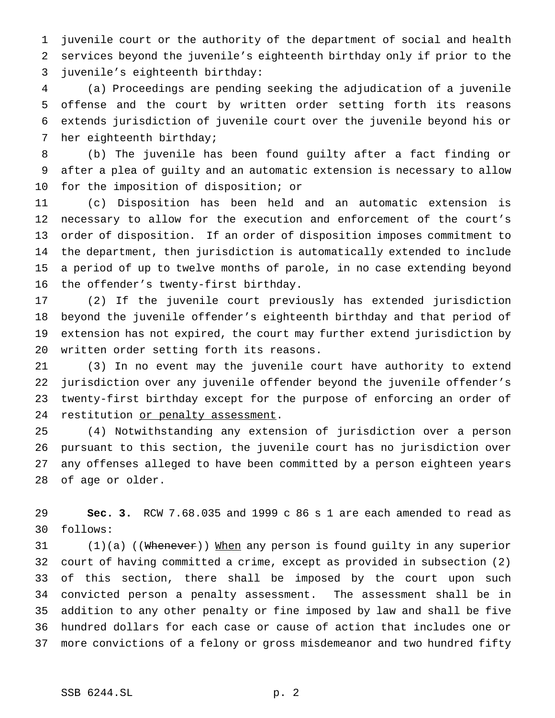juvenile court or the authority of the department of social and health services beyond the juvenile's eighteenth birthday only if prior to the juvenile's eighteenth birthday:

 (a) Proceedings are pending seeking the adjudication of a juvenile offense and the court by written order setting forth its reasons extends jurisdiction of juvenile court over the juvenile beyond his or her eighteenth birthday;

 (b) The juvenile has been found guilty after a fact finding or after a plea of guilty and an automatic extension is necessary to allow for the imposition of disposition; or

 (c) Disposition has been held and an automatic extension is necessary to allow for the execution and enforcement of the court's order of disposition. If an order of disposition imposes commitment to the department, then jurisdiction is automatically extended to include a period of up to twelve months of parole, in no case extending beyond the offender's twenty-first birthday.

 (2) If the juvenile court previously has extended jurisdiction beyond the juvenile offender's eighteenth birthday and that period of extension has not expired, the court may further extend jurisdiction by written order setting forth its reasons.

 (3) In no event may the juvenile court have authority to extend jurisdiction over any juvenile offender beyond the juvenile offender's twenty-first birthday except for the purpose of enforcing an order of 24 restitution or penalty assessment.

 (4) Notwithstanding any extension of jurisdiction over a person pursuant to this section, the juvenile court has no jurisdiction over any offenses alleged to have been committed by a person eighteen years of age or older.

 **Sec. 3.** RCW 7.68.035 and 1999 c 86 s 1 are each amended to read as follows:

31 (1)(a) ((Whenever)) When any person is found guilty in any superior court of having committed a crime, except as provided in subsection (2) of this section, there shall be imposed by the court upon such convicted person a penalty assessment. The assessment shall be in addition to any other penalty or fine imposed by law and shall be five hundred dollars for each case or cause of action that includes one or more convictions of a felony or gross misdemeanor and two hundred fifty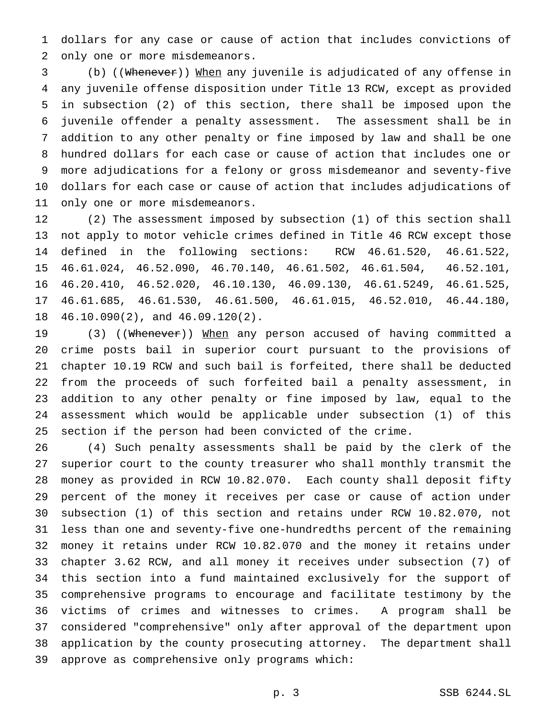dollars for any case or cause of action that includes convictions of only one or more misdemeanors.

 (b) ((Whenever)) When any juvenile is adjudicated of any offense in any juvenile offense disposition under Title 13 RCW, except as provided in subsection (2) of this section, there shall be imposed upon the juvenile offender a penalty assessment. The assessment shall be in addition to any other penalty or fine imposed by law and shall be one hundred dollars for each case or cause of action that includes one or more adjudications for a felony or gross misdemeanor and seventy-five dollars for each case or cause of action that includes adjudications of only one or more misdemeanors.

 (2) The assessment imposed by subsection (1) of this section shall not apply to motor vehicle crimes defined in Title 46 RCW except those defined in the following sections: RCW 46.61.520, 46.61.522, 46.61.024, 46.52.090, 46.70.140, 46.61.502, 46.61.504, 46.52.101, 46.20.410, 46.52.020, 46.10.130, 46.09.130, 46.61.5249, 46.61.525, 46.61.685, 46.61.530, 46.61.500, 46.61.015, 46.52.010, 46.44.180, 46.10.090(2), and 46.09.120(2).

19 (3) ((Whenever)) When any person accused of having committed a crime posts bail in superior court pursuant to the provisions of chapter 10.19 RCW and such bail is forfeited, there shall be deducted from the proceeds of such forfeited bail a penalty assessment, in addition to any other penalty or fine imposed by law, equal to the assessment which would be applicable under subsection (1) of this section if the person had been convicted of the crime.

 (4) Such penalty assessments shall be paid by the clerk of the superior court to the county treasurer who shall monthly transmit the money as provided in RCW 10.82.070. Each county shall deposit fifty percent of the money it receives per case or cause of action under subsection (1) of this section and retains under RCW 10.82.070, not less than one and seventy-five one-hundredths percent of the remaining money it retains under RCW 10.82.070 and the money it retains under chapter 3.62 RCW, and all money it receives under subsection (7) of this section into a fund maintained exclusively for the support of comprehensive programs to encourage and facilitate testimony by the victims of crimes and witnesses to crimes. A program shall be considered "comprehensive" only after approval of the department upon application by the county prosecuting attorney. The department shall approve as comprehensive only programs which: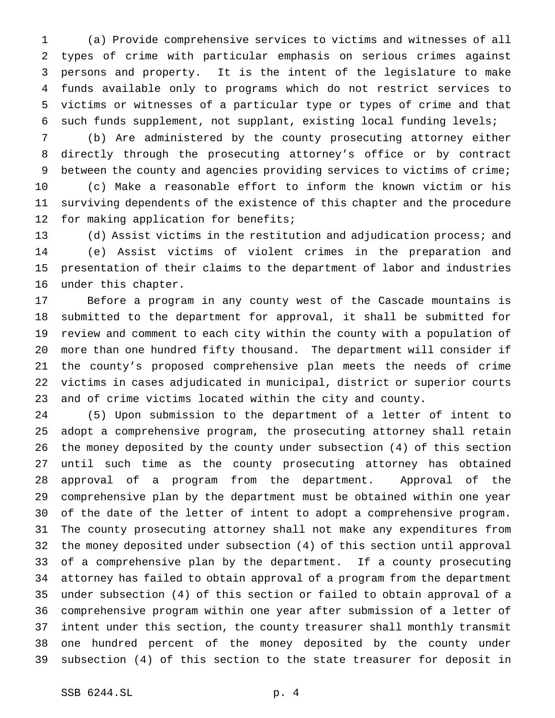(a) Provide comprehensive services to victims and witnesses of all types of crime with particular emphasis on serious crimes against persons and property. It is the intent of the legislature to make funds available only to programs which do not restrict services to victims or witnesses of a particular type or types of crime and that such funds supplement, not supplant, existing local funding levels;

 (b) Are administered by the county prosecuting attorney either directly through the prosecuting attorney's office or by contract between the county and agencies providing services to victims of crime;

 (c) Make a reasonable effort to inform the known victim or his surviving dependents of the existence of this chapter and the procedure for making application for benefits;

 (d) Assist victims in the restitution and adjudication process; and (e) Assist victims of violent crimes in the preparation and presentation of their claims to the department of labor and industries under this chapter.

 Before a program in any county west of the Cascade mountains is submitted to the department for approval, it shall be submitted for review and comment to each city within the county with a population of more than one hundred fifty thousand. The department will consider if the county's proposed comprehensive plan meets the needs of crime victims in cases adjudicated in municipal, district or superior courts and of crime victims located within the city and county.

 (5) Upon submission to the department of a letter of intent to adopt a comprehensive program, the prosecuting attorney shall retain the money deposited by the county under subsection (4) of this section until such time as the county prosecuting attorney has obtained approval of a program from the department. Approval of the comprehensive plan by the department must be obtained within one year of the date of the letter of intent to adopt a comprehensive program. The county prosecuting attorney shall not make any expenditures from the money deposited under subsection (4) of this section until approval of a comprehensive plan by the department. If a county prosecuting attorney has failed to obtain approval of a program from the department under subsection (4) of this section or failed to obtain approval of a comprehensive program within one year after submission of a letter of intent under this section, the county treasurer shall monthly transmit one hundred percent of the money deposited by the county under subsection (4) of this section to the state treasurer for deposit in